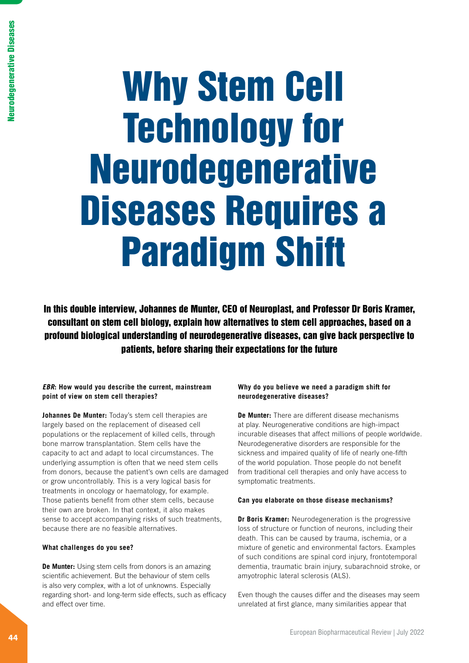# Why Stem Cell Technology for Neurodegenerative Diseases Requires a Paradigm Shift

In this double interview, Johannes de Munter, CEO of Neuroplast, and Professor Dr Boris Kramer, consultant on stem cell biology, explain how alternatives to stem cell approaches, based on a profound biological understanding of neurodegenerative diseases, can give back perspective to patients, before sharing their expectations for the future

# *EBR***: How would you describe the current, mainstream point of view on stem cell therapies?**

**Johannes De Munter:** Today's stem cell therapies are largely based on the replacement of diseased cell populations or the replacement of killed cells, through bone marrow transplantation. Stem cells have the capacity to act and adapt to local circumstances. The underlying assumption is often that we need stem cells from donors, because the patient's own cells are damaged or grow uncontrollably. This is a very logical basis for treatments in oncology or haematology, for example. Those patients benefit from other stem cells, because their own are broken. In that context, it also makes sense to accept accompanying risks of such treatments, because there are no feasible alternatives.

## **What challenges do you see?**

**De Munter:** Using stem cells from donors is an amazing scientific achievement. But the behaviour of stem cells is also very complex, with a lot of unknowns. Especially regarding short- and long-term side effects, such as efficacy and effect over time.

# **Why do you believe we need a paradigm shift for neurodegenerative diseases?**

**De Munter:** There are different disease mechanisms at play. Neurogenerative conditions are high-impact incurable diseases that affect millions of people worldwide. Neurodegenerative disorders are responsible for the sickness and impaired quality of life of nearly one-fifth of the world population. Those people do not benefit from traditional cell therapies and only have access to symptomatic treatments.

## **Can you elaborate on those disease mechanisms?**

**Dr Boris Kramer:** Neurodegeneration is the progressive loss of structure or function of neurons, including their death. This can be caused by trauma, ischemia, or a mixture of genetic and environmental factors. Examples of such conditions are spinal cord injury, frontotemporal dementia, traumatic brain injury, subarachnoid stroke, or amyotrophic lateral sclerosis (ALS).

Even though the causes differ and the diseases may seem unrelated at first glance, many similarities appear that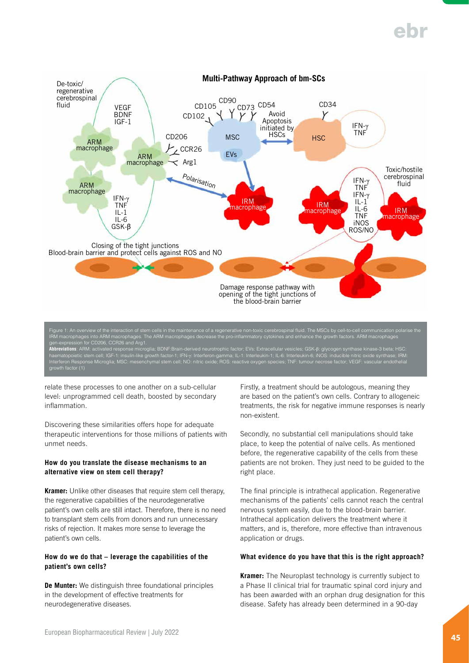

**Abbreviations**: ARM: activated response microglia; BDNF:Brain-derived neurotrophic factor; EVs: Extracellular vesicles; GSK-β: glycogen synthase kinase-3 beta; HSC: haematopoietic stem cell; IGF-1: insulin-like growth factor-1; IFN-γ: Interferon-gamma; IL-1: Interleukin-1; IL-6: Interleukin-6; iNOS: inducible nitric oxide synthase; IRM: Interferon Response Microglia; MSC: mesenchymal stem cell; NO: nitric oxide; ROS: reactive oxygen species; TNF: tumour necrose factor; VEGF: vascular endothelial terteron Hespo<br>owth factor (1)

relate these processes to one another on a sub-cellular level: unprogrammed cell death, boosted by secondary inflammation.

Discovering these similarities offers hope for adequate therapeutic interventions for those millions of patients with unmet needs.

## **How do you translate the disease mechanisms to an alternative view on stem cell therapy?**

**Kramer:** Unlike other diseases that require stem cell therapy, the regenerative capabilities of the neurodegenerative patient's own cells are still intact. Therefore, there is no need to transplant stem cells from donors and run unnecessary risks of rejection. It makes more sense to leverage the patient's own cells.

## **How do we do that – leverage the capabilities of the patient's own cells?**

**De Munter:** We distinguish three foundational principles in the development of effective treatments for neurodegenerative diseases.

Firstly, a treatment should be autologous, meaning they are based on the patient's own cells. Contrary to allogeneic treatments, the risk for negative immune responses is nearly non-existent.

Secondly, no substantial cell manipulations should take place, to keep the potential of naïve cells. As mentioned before, the regenerative capability of the cells from these patients are not broken. They just need to be guided to the right place.

The final principle is intrathecal application. Regenerative mechanisms of the patients' cells cannot reach the central nervous system easily, due to the blood-brain barrier. Intrathecal application delivers the treatment where it matters, and is, therefore, more effective than intravenous application or drugs.

## **What evidence do you have that this is the right approach?**

**Kramer:** The Neuroplast technology is currently subject to a Phase II clinical trial for traumatic spinal cord injury and has been awarded with an orphan drug designation for this disease. Safety has already been determined in a 90-day